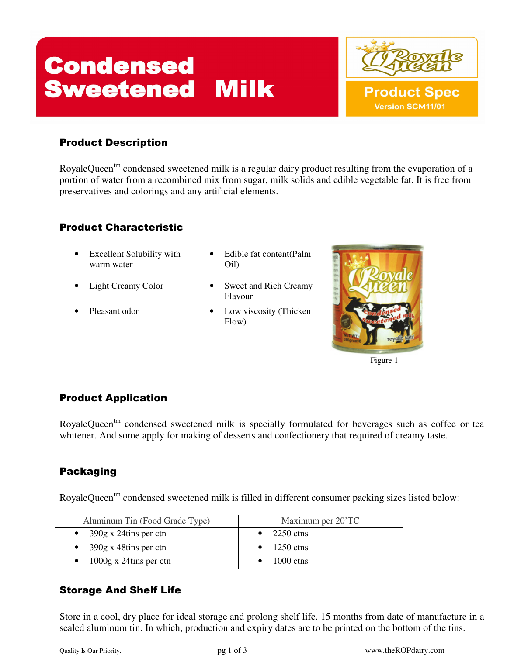# **Condensed<br>Sweetened Milk**

#### Product Description

RoyaleQueen<sup>tm</sup> condensed sweetened milk is a regular dairy product resulting from the evaporation of a portion of water from a recombined mix from sugar, milk solids and edible vegetable fat. It is free from preservatives and colorings and any artificial elements.

#### Product Characteristic

- Excellent Solubility with warm water
- 
- 
- Edible fat content(Palm Oil)
- Light Creamy Color Sweet and Rich Creamy Flavour
- Pleasant odor Low viscosity (Thicken Flow)



#### Product Application

RoyaleQueen<sup>tm</sup> condensed sweetened milk is specially formulated for beverages such as coffee or tea whitener. And some apply for making of desserts and confectionery that required of creamy taste.

#### Packaging

RoyaleQueen<sup>tm</sup> condensed sweetened milk is filled in different consumer packing sizes listed below:

| Aluminum Tin (Food Grade Type)   | Maximum per 20'TC    |
|----------------------------------|----------------------|
| • $390g \times 24t$ ins per ctn  | $\bullet$ 2250 ctns  |
| • $390g \times 48t$ ins per ctn  | $\bullet$ 1250 ctns  |
| $\bullet$ 1000g x 24tins per ctn | $1000 \text{ c}$ tns |

#### Storage And Shelf Life

Store in a cool, dry place for ideal storage and prolong shelf life. 15 months from date of manufacture in a sealed aluminum tin. In which, production and expiry dates are to be printed on the bottom of the tins.

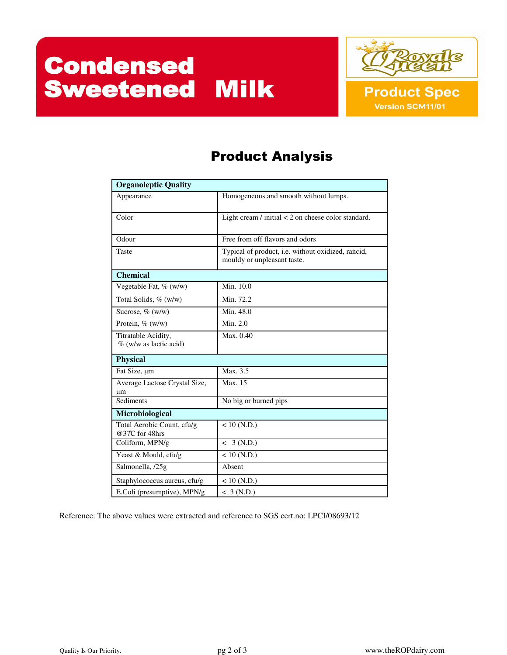## **Condensed<br>Sweetened Milk**



### Product Analysis

| <b>Organoleptic Quality</b>                      |                                                                                   |  |
|--------------------------------------------------|-----------------------------------------------------------------------------------|--|
| Appearance                                       | Homogeneous and smooth without lumps.                                             |  |
| Color                                            | Light cream / initial $<$ 2 on cheese color standard.                             |  |
| Odour                                            | Free from off flavors and odors                                                   |  |
| Taste                                            | Typical of product, i.e. without oxidized, rancid,<br>mouldy or unpleasant taste. |  |
| <b>Chemical</b>                                  |                                                                                   |  |
| Vegetable Fat, % (w/w)                           | Min. 10.0                                                                         |  |
| Total Solids, % (w/w)                            | Min. 72.2                                                                         |  |
| Sucrose, $\%$ (w/w)                              | Min. 48.0                                                                         |  |
| Protein, $\%$ (w/w)                              | Min. 2.0                                                                          |  |
| Titratable Acidity,<br>$\%$ (w/w as lactic acid) | Max. 0.40                                                                         |  |
| <b>Physical</b>                                  |                                                                                   |  |
| Fat Size, um                                     | Max.3.5                                                                           |  |
| Average Lactose Crystal Size,<br>μm              | Max. 15                                                                           |  |
| Sediments                                        | No big or burned pips                                                             |  |
| Microbiological                                  |                                                                                   |  |
| Total Aerobic Count, cfu/g<br>@37C for 48hrs     | $< 10$ (N.D.)                                                                     |  |
| Coliform, MPN/g                                  | < 3 (N.D.)                                                                        |  |
| Yeast & Mould, cfu/g                             | $< 10$ (N.D.)                                                                     |  |
| Salmonella, /25g                                 | Absent                                                                            |  |
| Staphylococcus aureus, cfu/g                     | $< 10$ (N.D.)                                                                     |  |
| E.Coli (presumptive), MPN/g                      | $<$ 3 (N.D.)                                                                      |  |

Reference: The above values were extracted and reference to SGS cert.no: LPCI/08693/12